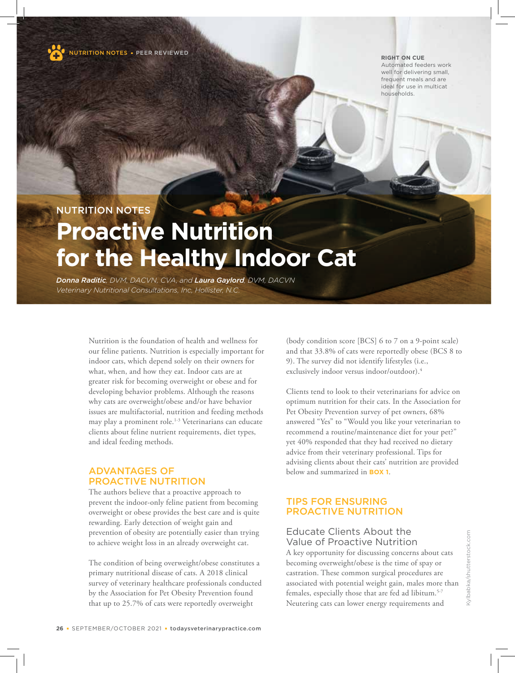

NUTRITION NOTESPEER REVIEWED

#### **RIGHT ON CUE**

Automated feeders work well for delivering small, frequent meals and are ideal for use in multicat households.

# NUTRITION NOTES

# **Proactive Nutrition for the Healthy Indoor Cat**

*Donna Raditic, DVM, DACVN, CVA, and Laura Gaylord, DVM, DACVN Veterinary Nutritional Consultations, Inc, Hollister, N.C.*

> Nutrition is the foundation of health and wellness for our feline patients. Nutrition is especially important for indoor cats, which depend solely on their owners for what, when, and how they eat. Indoor cats are at greater risk for becoming overweight or obese and for developing behavior problems. Although the reasons why cats are overweight/obese and/or have behavior issues are multifactorial, nutrition and feeding methods may play a prominent role.<sup>1-3</sup> Veterinarians can educate clients about feline nutrient requirements, diet types, and ideal feeding methods.

# ADVANTAGES OF PROACTIVE NUTRITION

The authors believe that a proactive approach to prevent the indoor-only feline patient from becoming overweight or obese provides the best care and is quite rewarding. Early detection of weight gain and prevention of obesity are potentially easier than trying to achieve weight loss in an already overweight cat.

The condition of being overweight/obese constitutes a primary nutritional disease of cats. A 2018 clinical survey of veterinary healthcare professionals conducted by the Association for Pet Obesity Prevention found that up to 25.7% of cats were reportedly overweight

(body condition score [BCS] 6 to 7 on a 9-point scale) and that 33.8% of cats were reportedly obese (BCS 8 to 9). The survey did not identify lifestyles (i.e., exclusively indoor versus indoor/outdoor).<sup>4</sup>

Clients tend to look to their veterinarians for advice on optimum nutrition for their cats. In the Association for Pet Obesity Prevention survey of pet owners, 68% answered "Yes" to "Would you like your veterinarian to recommend a routine/maintenance diet for your pet?" yet 40% responded that they had received no dietary advice from their veterinary professional. Tips for advising clients about their cats' nutrition are provided below and summarized in **BOX 1**.

# TIPS FOR ENSURING PROACTIVE NUTRITION

# Educate Clients About the Value of Proactive Nutrition

A key opportunity for discussing concerns about cats becoming overweight/obese is the time of spay or castration. These common surgical procedures are associated with potential weight gain, males more than females, especially those that are fed ad libitum.<sup>5-7</sup> Neutering cats can lower energy requirements and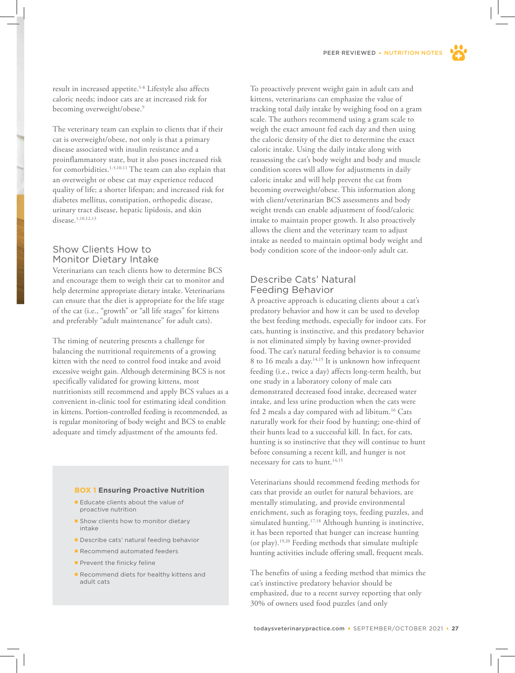result in increased appetite.5-8 Lifestyle also affects caloric needs; indoor cats are at increased risk for becoming overweight/obese.<sup>9</sup>

The veterinary team can explain to clients that if their cat is overweight/obese, not only is that a primary disease associated with insulin resistance and a proinflammatory state, but it also poses increased risk for comorbidities.<sup>1-3,10,11</sup> The team can also explain that an overweight or obese cat may experience reduced quality of life; a shorter lifespan; and increased risk for diabetes mellitus, constipation, orthopedic disease, urinary tract disease, hepatic lipidosis, and skin disease.<sup>1,10,12,13</sup>

# Show Clients How to Monitor Dietary Intake

Veterinarians can teach clients how to determine BCS and encourage them to weigh their cat to monitor and help determine appropriate dietary intake. Veterinarians can ensure that the diet is appropriate for the life stage of the cat (i.e., "growth" or "all life stages" for kittens and preferably "adult maintenance" for adult cats).

The timing of neutering presents a challenge for balancing the nutritional requirements of a growing kitten with the need to control food intake and avoid excessive weight gain. Although determining BCS is not specifically validated for growing kittens, most nutritionists still recommend and apply BCS values as a convenient in-clinic tool for estimating ideal condition in kittens. Portion-controlled feeding is recommended, as is regular monitoring of body weight and BCS to enable adequate and timely adjustment of the amounts fed.

#### **BOX 1 Ensuring Proactive Nutrition**

- **Educate clients about the value of** proactive nutrition
- **Show clients how to monitor dietary** intake
- **Describe cats' natural feeding behavior**
- Recommend automated feeders
- Prevent the finicky feline
- Recommend diets for healthy kittens and adult cats

To proactively prevent weight gain in adult cats and kittens, veterinarians can emphasize the value of tracking total daily intake by weighing food on a gram scale. The authors recommend using a gram scale to weigh the exact amount fed each day and then using the caloric density of the diet to determine the exact caloric intake. Using the daily intake along with reassessing the cat's body weight and body and muscle condition scores will allow for adjustments in daily caloric intake and will help prevent the cat from becoming overweight/obese. This information along with client/veterinarian BCS assessments and body weight trends can enable adjustment of food/caloric intake to maintain proper growth. It also proactively allows the client and the veterinary team to adjust intake as needed to maintain optimal body weight and body condition score of the indoor-only adult cat.

# Describe Cats' Natural Feeding Behavior

A proactive approach is educating clients about a cat's predatory behavior and how it can be used to develop the best feeding methods, especially for indoor cats. For cats, hunting is instinctive, and this predatory behavior is not eliminated simply by having owner-provided food. The cat's natural feeding behavior is to consume 8 to 16 meals a day.14,15 It is unknown how infrequent feeding (i.e., twice a day) affects long-term health, but one study in a laboratory colony of male cats demonstrated decreased food intake, decreased water intake, and less urine production when the cats were fed 2 meals a day compared with ad libitum.<sup>16</sup> Cats naturally work for their food by hunting; one-third of their hunts lead to a successful kill. In fact, for cats, hunting is so instinctive that they will continue to hunt before consuming a recent kill, and hunger is not necessary for cats to hunt.<sup>14,15</sup>

Veterinarians should recommend feeding methods for cats that provide an outlet for natural behaviors, are mentally stimulating, and provide environmental enrichment, such as foraging toys, feeding puzzles, and simulated hunting.<sup>17,18</sup> Although hunting is instinctive, it has been reported that hunger can increase hunting (or play).19,20 Feeding methods that simulate multiple hunting activities include offering small, frequent meals.

The benefits of using a feeding method that mimics the cat's instinctive predatory behavior should be emphasized, due to a recent survey reporting that only 30% of owners used food puzzles (and only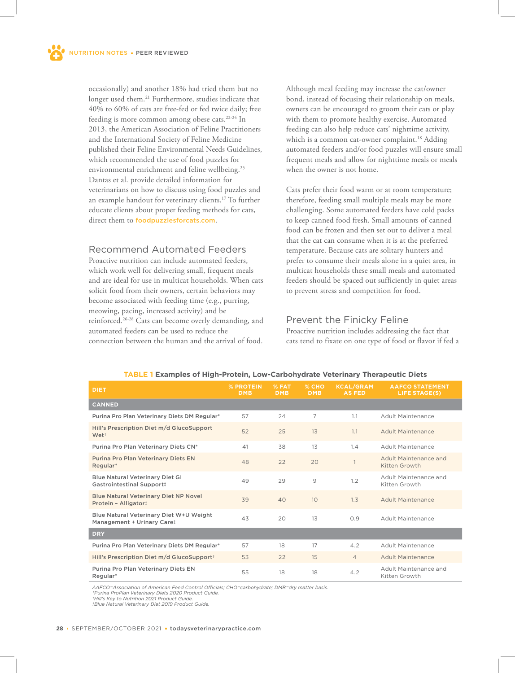occasionally) and another 18% had tried them but no longer used them.<sup>21</sup> Furthermore, studies indicate that 40% to 60% of cats are free-fed or fed twice daily; free feeding is more common among obese cats.22-24 In 2013, the American Association of Feline Practitioners and the International Society of Feline Medicine published their Feline Environmental Needs Guidelines, which recommended the use of food puzzles for environmental enrichment and feline wellbeing.<sup>25</sup> Dantas et al. provide detailed information for veterinarians on how to discuss using food puzzles and an example handout for veterinary clients.<sup>17</sup> To further educate clients about proper feeding methods for cats, direct them to foodpuzzlesforcats.com.

## Recommend Automated Feeders

Proactive nutrition can include automated feeders, which work well for delivering small, frequent meals and are ideal for use in multicat households. When cats solicit food from their owners, certain behaviors may become associated with feeding time (e.g., purring, meowing, pacing, increased activity) and be reinforced.26-28 Cats can become overly demanding, and automated feeders can be used to reduce the connection between the human and the arrival of food.

Although meal feeding may increase the cat/owner bond, instead of focusing their relationship on meals, owners can be encouraged to groom their cats or play with them to promote healthy exercise. Automated feeding can also help reduce cats' nighttime activity, which is a common cat-owner complaint.<sup>18</sup> Adding automated feeders and/or food puzzles will ensure small frequent meals and allow for nighttime meals or meals when the owner is not home.

Cats prefer their food warm or at room temperature; therefore, feeding small multiple meals may be more challenging. Some automated feeders have cold packs to keep canned food fresh. Small amounts of canned food can be frozen and then set out to deliver a meal that the cat can consume when it is at the preferred temperature. Because cats are solitary hunters and prefer to consume their meals alone in a quiet area, in multicat households these small meals and automated feeders should be spaced out sufficiently in quiet areas to prevent stress and competition for food.

## Prevent the Finicky Feline

Proactive nutrition includes addressing the fact that cats tend to fixate on one type of food or flavor if fed a

| <b>DIET</b>                                                           | % PROTEIN<br><b>DMB</b> | % FAT<br><b>DMB</b> | % CHO<br><b>DMB</b> | <b>KCAL/GRAM</b><br><b>AS FED</b> | <b>AAFCO STATEMENT</b><br><b>LIFE STAGE(S)</b> |
|-----------------------------------------------------------------------|-------------------------|---------------------|---------------------|-----------------------------------|------------------------------------------------|
| <b>CANNED</b>                                                         |                         |                     |                     |                                   |                                                |
| Purina Pro Plan Veterinary Diets DM Regular*                          | 57                      | 24                  | 7                   | 1.1                               | Adult Maintenance                              |
| Hill's Prescription Diet m/d GlucoSupport<br>Wet <sup>+</sup>         | 52                      | 25                  | 13                  | 1.1                               | Adult Maintenance                              |
| Purina Pro Plan Veterinary Diets CN*                                  | 41                      | 38                  | 13                  | 1.4                               | Adult Maintenance                              |
| Purina Pro Plan Veterinary Diets EN<br>Regular*                       | 48                      | 22                  | 20                  |                                   | Adult Maintenance and<br>Kitten Growth         |
| <b>Blue Natural Veterinary Diet GI</b><br>Gastrointestinal Support!   | 49                      | 29                  | 9                   | 1.2                               | Adult Maintenance and<br>Kitten Growth         |
| <b>Blue Natural Veterinary Diet NP Novel</b><br>Protein - Alligator!  | 39                      | 40                  | 10                  | 1.3                               | Adult Maintenance                              |
| Blue Natural Veterinary Diet W+U Weight<br>Management + Urinary Caret | 43                      | 20                  | 13                  | O.9                               | Adult Maintenance                              |
| <b>DRY</b>                                                            |                         |                     |                     |                                   |                                                |
| Purina Pro Plan Veterinary Diets DM Regular*                          | 57                      | 18                  | 17                  | 4.2                               | Adult Maintenance                              |
| Hill's Prescription Diet m/d GlucoSupport <sup>+</sup>                | 53                      | 22                  | 15                  | $\overline{4}$                    | Adult Maintenance                              |
| Purina Pro Plan Veterinary Diets EN<br>Regular*                       | 55                      | 18                  | 18                  | 4.2                               | Adult Maintenance and<br>Kitten Growth         |

#### **TABLE 1 Examples of High-Protein, Low-Carbohydrate Veterinary Therapeutic Diets**

*AAFCO=Association of American Feed Control Officials; CHO=carbohydrate; DMB=dry matter basis. \*Purina ProPlan Veterinary Diets 2020 Product Guide.* 

*†Hill's Key to Nutrition 2021 Product Guide.*

*‡Blue Natural Veterinary Diet 2019 Product Guide.*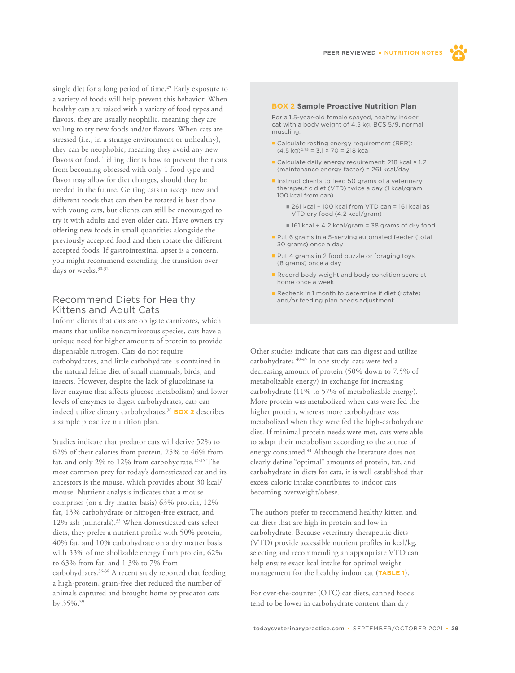

# Recommend Diets for Healthy Kittens and Adult Cats

Inform clients that cats are obligate carnivores, which means that unlike noncarnivorous species, cats have a unique need for higher amounts of protein to provide dispensable nitrogen. Cats do not require carbohydrates, and little carbohydrate is contained in the natural feline diet of small mammals, birds, and insects. However, despite the lack of glucokinase (a liver enzyme that affects glucose metabolism) and lower levels of enzymes to digest carbohydrates, cats can indeed utilize dietary carbohydrates.<sup>30</sup> **BOX 2** describes a sample proactive nutrition plan.

Studies indicate that predator cats will derive 52% to 62% of their calories from protein, 25% to 46% from fat, and only 2% to 12% from carbohydrate.33-35 The most common prey for today's domesticated cat and its ancestors is the mouse, which provides about 30 kcal/ mouse. Nutrient analysis indicates that a mouse comprises (on a dry matter basis) 63% protein, 12% fat, 13% carbohydrate or nitrogen-free extract, and 12% ash (minerals).<sup>35</sup> When domesticated cats select diets, they prefer a nutrient profile with 50% protein, 40% fat, and 10% carbohydrate on a dry matter basis with 33% of metabolizable energy from protein, 62% to 63% from fat, and 1.3% to 7% from carbohydrates.36-38 A recent study reported that feeding a high-protein, grain-free diet reduced the number of animals captured and brought home by predator cats by 35%.<sup>39</sup>

#### **BOX 2 Sample Proactive Nutrition Plan**

For a 1.5-year-old female spayed, healthy indoor cat with a body weight of 4.5 kg, BCS 5/9, normal muscling:

- Calculate resting energy requirement (RER):  $(4.5 \text{ kg})^{0.75} = 3.1 \times 70 = 218 \text{ kcal}$
- Calculate daily energy requirement: 218 kcal × 1.2 (maintenance energy factor) = 261 kcal/day
- Instruct clients to feed 50 grams of a veterinary therapeutic diet (VTD) twice a day (1 kcal/gram; 100 kcal from can)
	- 261 kcal 100 kcal from VTD can = 161 kcal as VTD dry food (4.2 kcal/gram)
	- 161 kcal ÷ 4.2 kcal/gram = 38 grams of dry food
- Put 6 grams in a 5-serving automated feeder (total 30 grams) once a day
- Put 4 grams in 2 food puzzle or foraging toys (8 grams) once a day
- Record body weight and body condition score at home once a week
- Recheck in 1 month to determine if diet (rotate) and/or feeding plan needs adjustment

Other studies indicate that cats can digest and utilize carbohydrates.<sup>40-45</sup> In one study, cats were fed a decreasing amount of protein (50% down to 7.5% of metabolizable energy) in exchange for increasing carbohydrate (11% to 57% of metabolizable energy). More protein was metabolized when cats were fed the higher protein, whereas more carbohydrate was metabolized when they were fed the high-carbohydrate diet. If minimal protein needs were met, cats were able to adapt their metabolism according to the source of energy consumed.<sup>41</sup> Although the literature does not clearly define "optimal" amounts of protein, fat, and carbohydrate in diets for cats, it is well established that excess caloric intake contributes to indoor cats becoming overweight/obese.

The authors prefer to recommend healthy kitten and cat diets that are high in protein and low in carbohydrate. Because veterinary therapeutic diets (VTD) provide accessible nutrient profiles in kcal/kg, selecting and recommending an appropriate VTD can help ensure exact kcal intake for optimal weight management for the healthy indoor cat (**TABLE 1**).

For over-the-counter (OTC) cat diets, canned foods tend to be lower in carbohydrate content than dry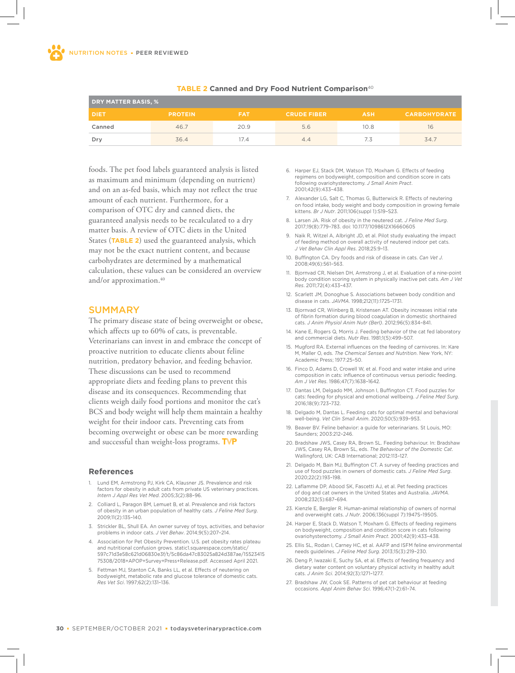| <b>DRY MATTER BASIS, %</b> |                |            |                    |            |                     |  |  |  |
|----------------------------|----------------|------------|--------------------|------------|---------------------|--|--|--|
| <b>DIET</b>                | <b>PROTEIN</b> | <b>FAT</b> | <b>CRUDE FIBER</b> | <b>ASH</b> | <b>CARBOHYDRATE</b> |  |  |  |
| Canned                     | 46.7           | 20.9       | 5.6                | 10.8       | 16                  |  |  |  |
| Drv                        | 36.4           | 17.4       | 4.4                | 7.3        | 34.7                |  |  |  |

#### **TABLE 2 Canned and Dry Food Nutrient Comparison**<sup>40</sup>

foods. The pet food labels guaranteed analysis is listed as maximum and minimum (depending on nutrient) and on an as-fed basis, which may not reflect the true amount of each nutrient. Furthermore, for a comparison of OTC dry and canned diets, the guaranteed analysis needs to be recalculated to a dry matter basis. A review of OTC diets in the United States (**TABLE 2**) used the guaranteed analysis, which may not be the exact nutrient content, and because carbohydrates are determined by a mathematical calculation, these values can be considered an overview and/or approximation. $40$ 

### **SUMMARY**

The primary disease state of being overweight or obese, which affects up to 60% of cats, is preventable. Veterinarians can invest in and embrace the concept of proactive nutrition to educate clients about feline nutrition, predatory behavior, and feeding behavior. These discussions can be used to recommend appropriate diets and feeding plans to prevent this disease and its consequences. Recommending that clients weigh daily food portions and monitor the cat's BCS and body weight will help them maintain a healthy weight for their indoor cats. Preventing cats from becoming overweight or obese can be more rewarding and successful than weight-loss programs. TVP

#### **References**

- 1. Lund EM, Armstrong PJ, Kirk CA, Klausner JS. Prevalence and risk factors for obesity in adult cats from private US veterinary practices. *Intern J Appl Res Vet Med*. 2005;3(2):88–96.
- 2. Colliard L, Paragon BM, Lemuet B, et al. Prevalence and risk factors of obesity in an urban population of healthy cats. *J Feline Med Surg*. 2009;11(2):135–140.
- 3. Strickler BL, Shull EA. An owner survey of toys, activities, and behavior problems in indoor cats. *J Vet Behav*. 2014;9(5):207–214.
- 4. Association for Pet Obesity Prevention. U.S. pet obesity rates plateau and nutritional confusion grows. static1.squarespace.com/static/ 597c71d3e58c621d06830e3f/t/5c86da47c83025a824d387ae/15523415 75308/2018+APOP+Survey+Press+Release.pdf. Accessed April 2021.
- 5. Fettman MJ, Stanton CA, Banks LL, et al. Effects of neutering on bodyweight, metabolic rate and glucose tolerance of domestic cats. *Res Vet Sci*. 1997;62(2):131–136.
- 6. Harper EJ, Stack DM, Watson TD, Moxham G. Effects of feeding regimens on bodyweight, composition and condition score in cats following ovariohysterectomy. *J Small Anim Pract*. 2001;42(9):433–438.
- 7. Alexander LG, Salt C, Thomas G, Butterwick R. Effects of neutering on food intake, body weight and body composition in growing female kittens. *Br J Nutr*. 2011;106(suppl 1):S19–S23.
- 8. Larsen JA. Risk of obesity in the neutered cat. *J Feline Med Surg*. 2017;19(8):779–783. doi: 10.1177/1098612X16660605
- 9. Naik R, Witzel A, Albright JD, et al. Pilot study evaluating the impact of feeding method on overall activity of neutered indoor pet cats. *J Vet Behav Clin Appl Res*. 2018;25:9–13.
- 10. Buffington CA. Dry foods and risk of disease in cats. *Can Vet J*. 2008;49(6):561–563.
- 11. Bjornvad CR, Nielsen DH, Armstrong J, et al. Evaluation of a nine-point body condition scoring system in physically inactive pet cats. *Am J Vet Res*. 2011;72(4):433–437.
- 12. Scarlett JM, Donoghue S. Associations between body condition and disease in cats. *JAVMA*. 1998;212(11):1725–1731.
- 13. Bjornvad CR, Wiinberg B, Kristensen AT. Obesity increases initial rate of fibrin formation during blood coagulation in domestic shorthaired cats. *J Anim Physiol Anim Nutr (Berl)*. 2012;96(5):834–841.
- 14. Kane E, Rogers Q, Morris J. Feeding behavior of the cat fed laboratory and commercial diets. *Nutr Res*. 1981;1(5):499–507.
- 15. Mugford RA. External influences on the feeding of carnivores. In: Kare M, Maller O, eds. *The Chemical Senses and Nutrition*. New York, NY: Academic Press; 1977:25–50.
- 16. Finco D, Adams D, Crowell W, et al. Food and water intake and urine composition in cats: influence of continuous versus periodic feeding. *Am J Vet Res*. 1986;47(7):1638–1642.
- 17. Dantas LM, Delgado MM, Johnson I, Buffington CT. Food puzzles for cats: feeding for physical and emotional wellbeing. *J Feline Med Surg*. 2016;18(9):723–732.
- 18. Delgado M, Dantas L. Feeding cats for optimal mental and behavioral well-being. *Vet Clin Small Anim*. 2020;50(5):939–953.
- 19. Beaver BV. Feline behavior: a guide for veterinarians. St Louis, MO: Saunders; 2003:212–246.
- 20. Bradshaw JWS, Casey RA, Brown SL. Feeding behaviour. In: Bradshaw JWS, Casey RA, Brown SL, eds. *The Behaviour of the Domestic Cat*. Wallingford, UK: CAB International; 2012:113–127.
- 21. Delgado M, Bain MJ, Buffington CT. A survey of feeding practices and use of food puzzles in owners of domestic cats. *J Feline Med Surg*. 2020;22(2):193–198.
- 22. Laflamme DP, Abood SK, Fascetti AJ, et al. Pet feeding practices of dog and cat owners in the United States and Australia. *JAVMA*. 2008;232(5):687–694.
- 23. Kienzle E, Bergler R. Human-animal relationship of owners of normal and overweight cats. *J Nutr*. 2006;136(suppl 7):1947S–1950S.
- 24. Harper E, Stack D, Watson T, Moxham G. Effects of feeding regimens on bodyweight, composition and condition score in cats following ovariohysterectomy. *J Small Anim Pract*. 2001;42(9):433–438.
- 25. Ellis SL, Rodan I, Carney HC, et al. AAFP and ISFM feline environmental needs guidelines. *J Feline Med Surg*. 2013;15(3):219–230.
- 26. Deng P, Iwazaki E, Suchy SA, et al. Effects of feeding frequency and dietary water content on voluntary physical activity in healthy adult cats. *J Anim Sci*. 2014;92(3):1271–1277.
- 27. Bradshaw JW, Cook SE. Patterns of pet cat behaviour at feeding occasions. *Appl Anim Behav Sci*. 1996;47(1-2):61–74.